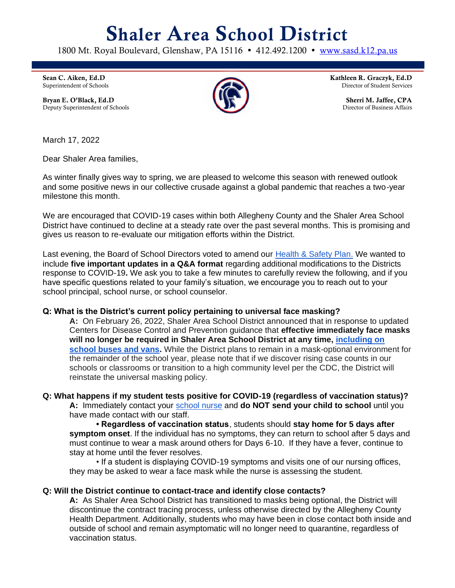# Shaler Area School District

1800 Mt. Royal Boulevard, Glenshaw, PA 15116 · 412.492.1200 · [www.sasd.k12.pa.us](http://www.sasd.k12.pa.us/)

Sean C. Aiken, Ed.D Superintendent of Schools

Bryan E. O'Black, Ed.D Deputy Superintendent of Schools



Kathleen R. Graczyk, Ed.D Director of Student Services

> Sherri M. Jaffee, CPA Director of Business Affairs

March 17, 2022

Dear Shaler Area families,

As winter finally gives way to spring, we are pleased to welcome this season with renewed outlook and some positive news in our collective crusade against a global pandemic that reaches a two-year milestone this month.

We are encouraged that COVID-19 cases within both Allegheny County and the Shaler Area School District have continued to decline at a steady rate over the past several months. This is promising and gives us reason to re-evaluate our mitigation efforts within the District.

Last evening, the Board of School Directors voted to amend our [Health & Safety Plan.](https://www.sasd.k12.pa.us/Downloads/Health-and-Safety-Plan-Updated-March-2022.pdf) We wanted to include **five important updates in a Q&A format** regarding additional modifications to the Districts response to COVID-19**.** We ask you to take a few minutes to carefully review the following, and if you have specific questions related to your family's situation, we encourage you to reach out to your school principal, school nurse, or school counselor.

## **Q: What is the District's current policy pertaining to universal face masking?**

**A:** On February 26, 2022, Shaler Area School District announced that in response to updated Centers for Disease Control and Prevention guidance that **effective immediately face masks will no longer be required in Shaler Area School District at any time, [including on](https://www.cdc.gov/coronavirus/2019-ncov/travelers/face-masks-public-transportation.html)  [school buses and vans.](https://www.cdc.gov/coronavirus/2019-ncov/travelers/face-masks-public-transportation.html)** While the District plans to remain in a mask-optional environment for the remainder of the school year, please note that if we discover rising case counts in our schools or classrooms or transition to a high community level per the CDC, the District will reinstate the universal masking policy.

## **Q: What happens if my student tests positive for COVID-19 (regardless of vaccination status)?**

**A:** Immediately contact your [school nurse](https://www.sasd.k12.pa.us/healthoffice3284.aspx) and **do NOT send your child to school** until you have made contact with our staff.

**• Regardless of vaccination status**, students should **stay home for 5 days after symptom onset**. If the individual has no symptoms, they can return to school after 5 days and must continue to wear a mask around others for Days 6-10. If they have a fever, continue to stay at home until the fever resolves.

• If a student is displaying COVID-19 symptoms and visits one of our nursing offices, they may be asked to wear a face mask while the nurse is assessing the student.

#### **Q: Will the District continue to contact-trace and identify close contacts?**

**A:** As Shaler Area School District has transitioned to masks being optional, the District will discontinue the contract tracing process, unless otherwise directed by the Allegheny County Health Department. Additionally, students who may have been in close contact both inside and outside of school and remain asymptomatic will no longer need to quarantine, regardless of vaccination status.